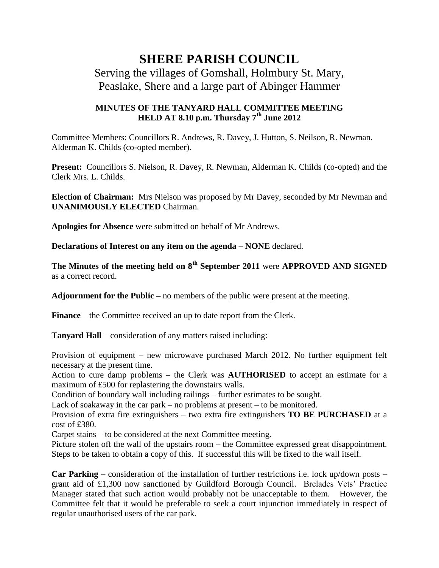## **SHERE PARISH COUNCIL**

## Serving the villages of Gomshall, Holmbury St. Mary, Peaslake, Shere and a large part of Abinger Hammer

## **MINUTES OF THE TANYARD HALL COMMITTEE MEETING HELD AT 8.10 p.m. Thursday 7th June 2012**

Committee Members: Councillors R. Andrews, R. Davey, J. Hutton, S. Neilson, R. Newman. Alderman K. Childs (co-opted member).

Present: Councillors S. Nielson, R. Davey, R. Newman, Alderman K. Childs (co-opted) and the Clerk Mrs. L. Childs.

**Election of Chairman:** Mrs Nielson was proposed by Mr Davey, seconded by Mr Newman and **UNANIMOUSLY ELECTED** Chairman.

**Apologies for Absence** were submitted on behalf of Mr Andrews.

**Declarations of Interest on any item on the agenda – NONE** declared.

**The Minutes of the meeting held on 8th September 2011** were **APPROVED AND SIGNED** as a correct record.

**Adjournment for the Public –** no members of the public were present at the meeting.

**Finance** – the Committee received an up to date report from the Clerk.

**Tanyard Hall** – consideration of any matters raised including:

Provision of equipment – new microwave purchased March 2012. No further equipment felt necessary at the present time.

Action to cure damp problems – the Clerk was **AUTHORISED** to accept an estimate for a maximum of £500 for replastering the downstairs walls.

Condition of boundary wall including railings – further estimates to be sought.

Lack of soakaway in the car park – no problems at present – to be monitored.

Provision of extra fire extinguishers – two extra fire extinguishers **TO BE PURCHASED** at a cost of £380.

Carpet stains – to be considered at the next Committee meeting.

Picture stolen off the wall of the upstairs room – the Committee expressed great disappointment. Steps to be taken to obtain a copy of this. If successful this will be fixed to the wall itself.

**Car Parking** – consideration of the installation of further restrictions i.e. lock up/down posts – grant aid of £1,300 now sanctioned by Guildford Borough Council. Brelades Vets' Practice Manager stated that such action would probably not be unacceptable to them. However, the Committee felt that it would be preferable to seek a court injunction immediately in respect of regular unauthorised users of the car park.